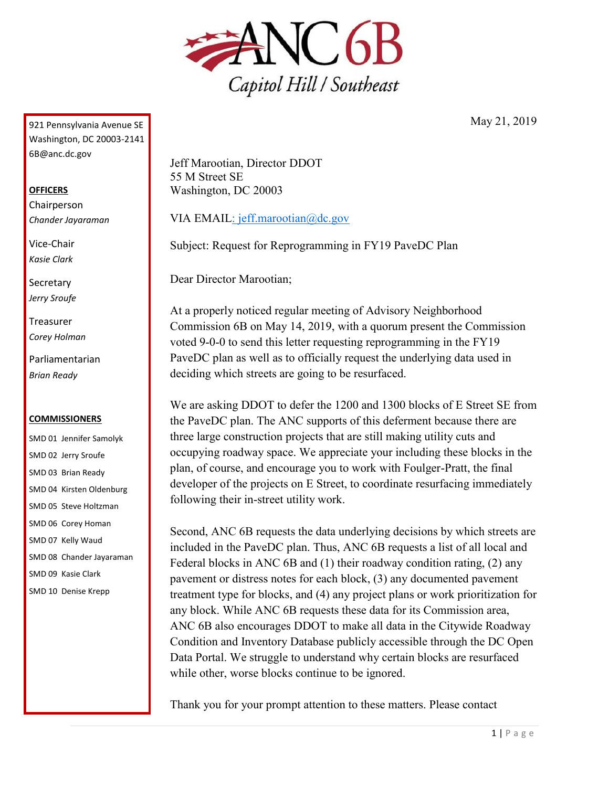

921 Pennsylvania Avenue SE Washington, DC 20003-2141 6B@anc.dc.gov

## **OFFICERS**

Chairperson *Chander Jayaraman*

Vice-Chair *Kasie Clark*

**Secretary** *Jerry Sroufe*

Treasurer *Corey Holman*

Parliamentarian *Brian Ready*

## **COMMISSIONERS**

SMD 01 Jennifer Samolyk SMD 02 Jerry Sroufe SMD 03 Brian Ready SMD 04 Kirsten Oldenburg SMD 05 Steve Holtzman SMD 06 Corey Homan SMD 07 Kelly Waud SMD 08 Chander Jayaraman SMD 09 Kasie Clark SMD 10 Denise Krepp

Jeff Marootian, Director DDOT 55 M Street SE Washington, DC 20003

VIA EMAI[L: jeff.marootian@dc.gov](mailto:jeff.marootian@dc.gov)

Subject: Request for Reprogramming in FY19 PaveDC Plan

Dear Director Marootian;

At a properly noticed regular meeting of Advisory Neighborhood Commission 6B on May 14, 2019, with a quorum present the Commission voted 9-0-0 to send this letter requesting reprogramming in the FY19 PaveDC plan as well as to officially request the underlying data used in deciding which streets are going to be resurfaced.

We are asking DDOT to defer the 1200 and 1300 blocks of E Street SE from the PaveDC plan. The ANC supports of this deferment because there are three large construction projects that are still making utility cuts and occupying roadway space. We appreciate your including these blocks in the plan, of course, and encourage you to work with Foulger-Pratt, the final developer of the projects on E Street, to coordinate resurfacing immediately following their in-street utility work.

Second, ANC 6B requests the data underlying decisions by which streets are included in the PaveDC plan. Thus, ANC 6B requests a list of all local and Federal blocks in ANC 6B and (1) their roadway condition rating, (2) any pavement or distress notes for each block, (3) any documented pavement treatment type for blocks, and (4) any project plans or work prioritization for any block. While ANC 6B requests these data for its Commission area, ANC 6B also encourages DDOT to make all data in the Citywide Roadway Condition and Inventory Database publicly accessible through the DC Open Data Portal. We struggle to understand why certain blocks are resurfaced while other, worse blocks continue to be ignored.

Thank you for your prompt attention to these matters. Please contact

May 21, 2019